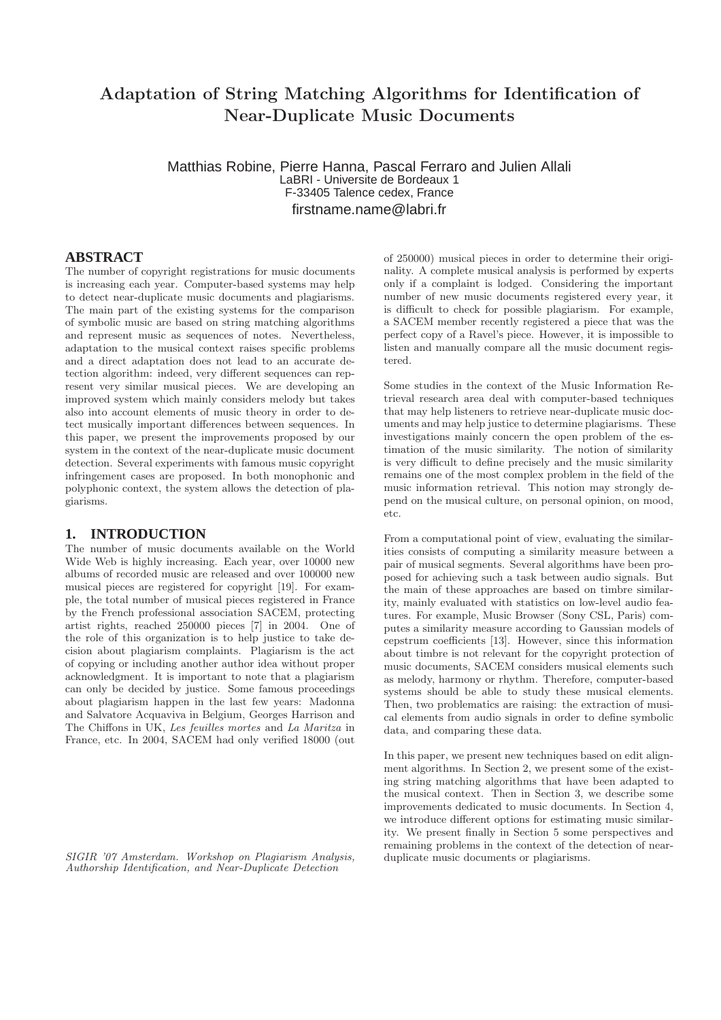# Adaptation of String Matching Algorithms for Identification of Near-Duplicate Music Documents

Matthias Robine, Pierre Hanna, Pascal Ferraro and Julien Allali LaBRI - Universite de Bordeaux 1 F-33405 Talence cedex, France firstname.name@labri.fr

# **ABSTRACT**

The number of copyright registrations for music documents is increasing each year. Computer-based systems may help to detect near-duplicate music documents and plagiarisms. The main part of the existing systems for the comparison of symbolic music are based on string matching algorithms and represent music as sequences of notes. Nevertheless, adaptation to the musical context raises specific problems and a direct adaptation does not lead to an accurate detection algorithm: indeed, very different sequences can represent very similar musical pieces. We are developing an improved system which mainly considers melody but takes also into account elements of music theory in order to detect musically important differences between sequences. In this paper, we present the improvements proposed by our system in the context of the near-duplicate music document detection. Several experiments with famous music copyright infringement cases are proposed. In both monophonic and polyphonic context, the system allows the detection of plagiarisms.

#### **1. INTRODUCTION**

The number of music documents available on the World Wide Web is highly increasing. Each year, over 10000 new albums of recorded music are released and over 100000 new musical pieces are registered for copyright [19]. For example, the total number of musical pieces registered in France by the French professional association SACEM, protecting artist rights, reached 250000 pieces [7] in 2004. One of the role of this organization is to help justice to take decision about plagiarism complaints. Plagiarism is the act of copying or including another author idea without proper acknowledgment. It is important to note that a plagiarism can only be decided by justice. Some famous proceedings about plagiarism happen in the last few years: Madonna and Salvatore Acquaviva in Belgium, Georges Harrison and The Chiffons in UK, Les feuilles mortes and La Maritza in France, etc. In 2004, SACEM had only verified 18000 (out

SIGIR '07 Amsterdam. Workshop on Plagiarism Analysis, Authorship Identification, and Near-Duplicate Detection

of 250000) musical pieces in order to determine their originality. A complete musical analysis is performed by experts only if a complaint is lodged. Considering the important number of new music documents registered every year, it is difficult to check for possible plagiarism. For example, a SACEM member recently registered a piece that was the perfect copy of a Ravel's piece. However, it is impossible to listen and manually compare all the music document registered.

Some studies in the context of the Music Information Retrieval research area deal with computer-based techniques that may help listeners to retrieve near-duplicate music documents and may help justice to determine plagiarisms. These investigations mainly concern the open problem of the estimation of the music similarity. The notion of similarity is very difficult to define precisely and the music similarity remains one of the most complex problem in the field of the music information retrieval. This notion may strongly depend on the musical culture, on personal opinion, on mood, etc.

From a computational point of view, evaluating the similarities consists of computing a similarity measure between a pair of musical segments. Several algorithms have been proposed for achieving such a task between audio signals. But the main of these approaches are based on timbre similarity, mainly evaluated with statistics on low-level audio features. For example, Music Browser (Sony CSL, Paris) computes a similarity measure according to Gaussian models of cepstrum coefficients [13]. However, since this information about timbre is not relevant for the copyright protection of music documents, SACEM considers musical elements such as melody, harmony or rhythm. Therefore, computer-based systems should be able to study these musical elements. Then, two problematics are raising: the extraction of musical elements from audio signals in order to define symbolic data, and comparing these data.

In this paper, we present new techniques based on edit alignment algorithms. In Section 2, we present some of the existing string matching algorithms that have been adapted to the musical context. Then in Section 3, we describe some improvements dedicated to music documents. In Section 4, we introduce different options for estimating music similarity. We present finally in Section 5 some perspectives and remaining problems in the context of the detection of nearduplicate music documents or plagiarisms.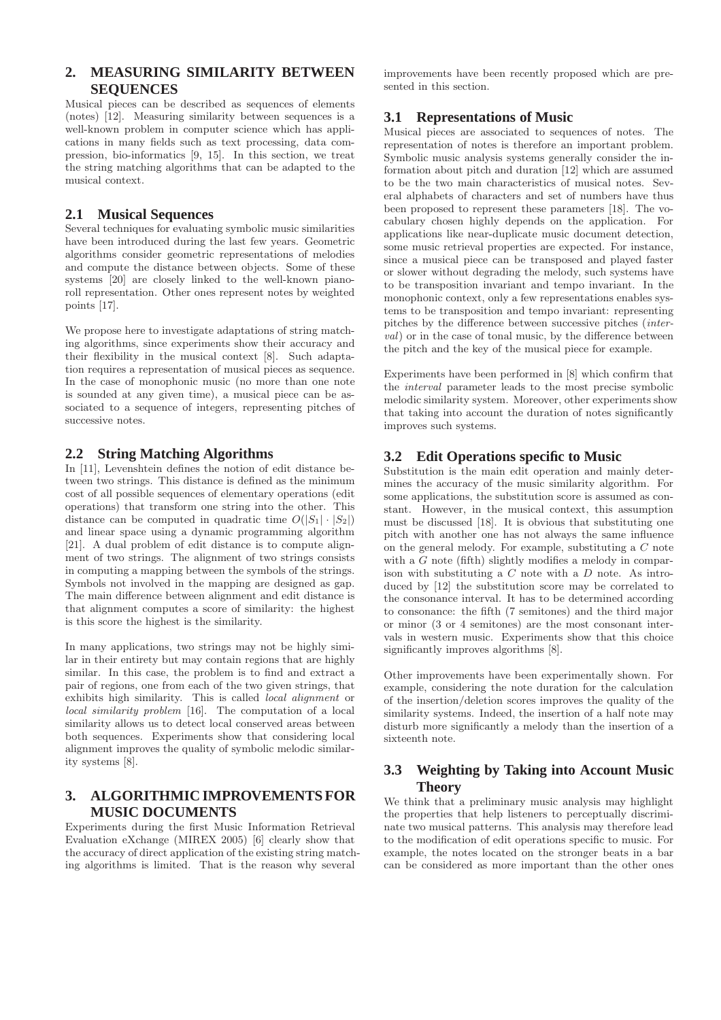### **2. MEASURING SIMILARITY BETWEEN SEQUENCES**

Musical pieces can be described as sequences of elements (notes) [12]. Measuring similarity between sequences is a well-known problem in computer science which has applications in many fields such as text processing, data compression, bio-informatics [9, 15]. In this section, we treat the string matching algorithms that can be adapted to the musical context.

# **2.1 Musical Sequences**

Several techniques for evaluating symbolic music similarities have been introduced during the last few years. Geometric algorithms consider geometric representations of melodies and compute the distance between objects. Some of these systems [20] are closely linked to the well-known pianoroll representation. Other ones represent notes by weighted points [17].

We propose here to investigate adaptations of string matching algorithms, since experiments show their accuracy and their flexibility in the musical context [8]. Such adaptation requires a representation of musical pieces as sequence. In the case of monophonic music (no more than one note is sounded at any given time), a musical piece can be associated to a sequence of integers, representing pitches of successive notes.

### **2.2 String Matching Algorithms**

In [11], Levenshtein defines the notion of edit distance between two strings. This distance is defined as the minimum cost of all possible sequences of elementary operations (edit operations) that transform one string into the other. This distance can be computed in quadratic time  $O(|S_1| \cdot |S_2|)$ and linear space using a dynamic programming algorithm [21]. A dual problem of edit distance is to compute alignment of two strings. The alignment of two strings consists in computing a mapping between the symbols of the strings. Symbols not involved in the mapping are designed as gap. The main difference between alignment and edit distance is that alignment computes a score of similarity: the highest is this score the highest is the similarity.

In many applications, two strings may not be highly similar in their entirety but may contain regions that are highly similar. In this case, the problem is to find and extract a pair of regions, one from each of the two given strings, that exhibits high similarity. This is called *local alignment* or local similarity problem [16]. The computation of a local similarity allows us to detect local conserved areas between both sequences. Experiments show that considering local alignment improves the quality of symbolic melodic similarity systems [8].

### **3. ALGORITHMIC IMPROVEMENTS FOR MUSIC DOCUMENTS**

Experiments during the first Music Information Retrieval Evaluation eXchange (MIREX 2005) [6] clearly show that the accuracy of direct application of the existing string matching algorithms is limited. That is the reason why several

improvements have been recently proposed which are presented in this section.

# **3.1 Representations of Music**

Musical pieces are associated to sequences of notes. The representation of notes is therefore an important problem. Symbolic music analysis systems generally consider the information about pitch and duration [12] which are assumed to be the two main characteristics of musical notes. Several alphabets of characters and set of numbers have thus been proposed to represent these parameters [18]. The vocabulary chosen highly depends on the application. For applications like near-duplicate music document detection, some music retrieval properties are expected. For instance, since a musical piece can be transposed and played faster or slower without degrading the melody, such systems have to be transposition invariant and tempo invariant. In the monophonic context, only a few representations enables systems to be transposition and tempo invariant: representing pitches by the difference between successive pitches (interval) or in the case of tonal music, by the difference between the pitch and the key of the musical piece for example.

Experiments have been performed in [8] which confirm that the interval parameter leads to the most precise symbolic melodic similarity system. Moreover, other experiments show that taking into account the duration of notes significantly improves such systems.

# **3.2 Edit Operations specific to Music**

Substitution is the main edit operation and mainly determines the accuracy of the music similarity algorithm. For some applications, the substitution score is assumed as constant. However, in the musical context, this assumption must be discussed [18]. It is obvious that substituting one pitch with another one has not always the same influence on the general melody. For example, substituting a C note with a  $G$  note (fifth) slightly modifies a melody in comparison with substituting a  $C$  note with a  $D$  note. As introduced by [12] the substitution score may be correlated to the consonance interval. It has to be determined according to consonance: the fifth (7 semitones) and the third major or minor (3 or 4 semitones) are the most consonant intervals in western music. Experiments show that this choice significantly improves algorithms [8].

Other improvements have been experimentally shown. For example, considering the note duration for the calculation of the insertion/deletion scores improves the quality of the similarity systems. Indeed, the insertion of a half note may disturb more significantly a melody than the insertion of a sixteenth note.

# **3.3 Weighting by Taking into Account Music Theory**

We think that a preliminary music analysis may highlight the properties that help listeners to perceptually discriminate two musical patterns. This analysis may therefore lead to the modification of edit operations specific to music. For example, the notes located on the stronger beats in a bar can be considered as more important than the other ones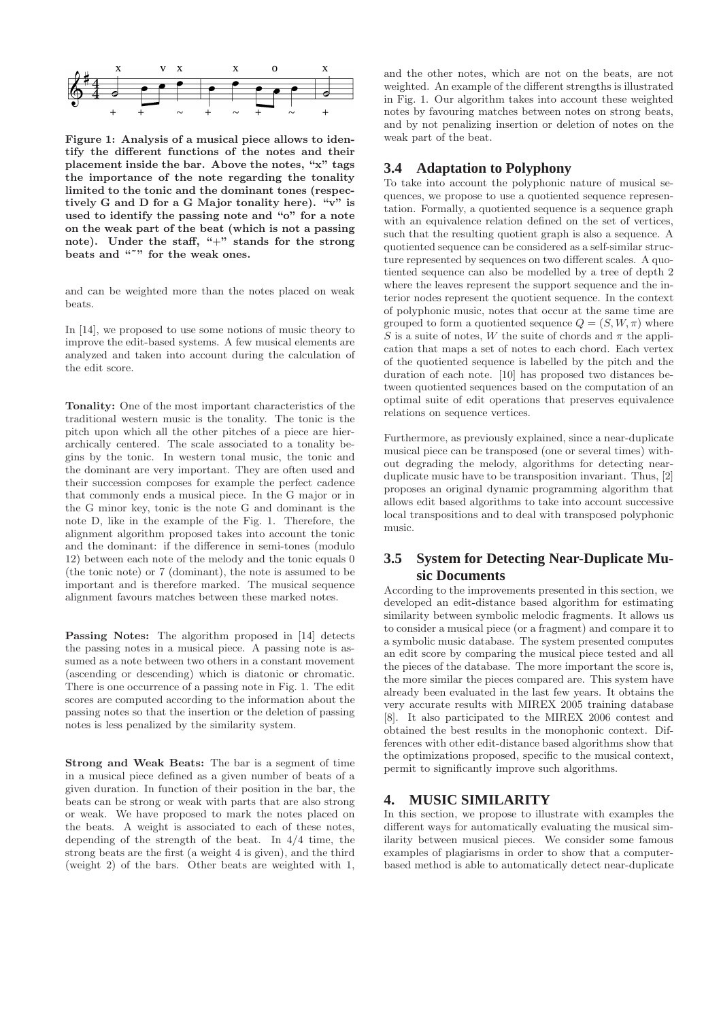

Figure 1: Analysis of a musical piece allows to identify the different functions of the notes and their placement inside the bar. Above the notes, "x" tags the importance of the note regarding the tonality limited to the tonic and the dominant tones (respectively G and D for a G Major tonality here). "v" is used to identify the passing note and "o" for a note on the weak part of the beat (which is not a passing note). Under the staff, "+" stands for the strong beats and """ for the weak ones.

and can be weighted more than the notes placed on weak beats.

In [14], we proposed to use some notions of music theory to improve the edit-based systems. A few musical elements are analyzed and taken into account during the calculation of the edit score.

Tonality: One of the most important characteristics of the traditional western music is the tonality. The tonic is the pitch upon which all the other pitches of a piece are hierarchically centered. The scale associated to a tonality begins by the tonic. In western tonal music, the tonic and the dominant are very important. They are often used and their succession composes for example the perfect cadence that commonly ends a musical piece. In the G major or in the G minor key, tonic is the note G and dominant is the note D, like in the example of the Fig. 1. Therefore, the alignment algorithm proposed takes into account the tonic and the dominant: if the difference in semi-tones (modulo 12) between each note of the melody and the tonic equals 0 (the tonic note) or 7 (dominant), the note is assumed to be important and is therefore marked. The musical sequence alignment favours matches between these marked notes.

Passing Notes: The algorithm proposed in [14] detects the passing notes in a musical piece. A passing note is assumed as a note between two others in a constant movement (ascending or descending) which is diatonic or chromatic. There is one occurrence of a passing note in Fig. 1. The edit scores are computed according to the information about the passing notes so that the insertion or the deletion of passing notes is less penalized by the similarity system.

Strong and Weak Beats: The bar is a segment of time in a musical piece defined as a given number of beats of a given duration. In function of their position in the bar, the beats can be strong or weak with parts that are also strong or weak. We have proposed to mark the notes placed on the beats. A weight is associated to each of these notes, depending of the strength of the beat. In 4/4 time, the strong beats are the first (a weight 4 is given), and the third (weight 2) of the bars. Other beats are weighted with 1,

and the other notes, which are not on the beats, are not weighted. An example of the different strengths is illustrated in Fig. 1. Our algorithm takes into account these weighted notes by favouring matches between notes on strong beats, and by not penalizing insertion or deletion of notes on the weak part of the beat.

#### **3.4 Adaptation to Polyphony**

To take into account the polyphonic nature of musical sequences, we propose to use a quotiented sequence representation. Formally, a quotiented sequence is a sequence graph with an equivalence relation defined on the set of vertices, such that the resulting quotient graph is also a sequence. A quotiented sequence can be considered as a self-similar structure represented by sequences on two different scales. A quotiented sequence can also be modelled by a tree of depth 2 where the leaves represent the support sequence and the interior nodes represent the quotient sequence. In the context of polyphonic music, notes that occur at the same time are grouped to form a quotiented sequence  $Q = (S, W, \pi)$  where S is a suite of notes, W the suite of chords and  $\pi$  the application that maps a set of notes to each chord. Each vertex of the quotiented sequence is labelled by the pitch and the duration of each note. [10] has proposed two distances between quotiented sequences based on the computation of an optimal suite of edit operations that preserves equivalence relations on sequence vertices.

Furthermore, as previously explained, since a near-duplicate musical piece can be transposed (one or several times) without degrading the melody, algorithms for detecting nearduplicate music have to be transposition invariant. Thus, [2] proposes an original dynamic programming algorithm that allows edit based algorithms to take into account successive local transpositions and to deal with transposed polyphonic music.

### **3.5 System for Detecting Near-Duplicate Music Documents**

According to the improvements presented in this section, we developed an edit-distance based algorithm for estimating similarity between symbolic melodic fragments. It allows us to consider a musical piece (or a fragment) and compare it to a symbolic music database. The system presented computes an edit score by comparing the musical piece tested and all the pieces of the database. The more important the score is, the more similar the pieces compared are. This system have already been evaluated in the last few years. It obtains the very accurate results with MIREX 2005 training database [8]. It also participated to the MIREX 2006 contest and obtained the best results in the monophonic context. Differences with other edit-distance based algorithms show that the optimizations proposed, specific to the musical context, permit to significantly improve such algorithms.

#### **4. MUSIC SIMILARITY**

In this section, we propose to illustrate with examples the different ways for automatically evaluating the musical similarity between musical pieces. We consider some famous examples of plagiarisms in order to show that a computerbased method is able to automatically detect near-duplicate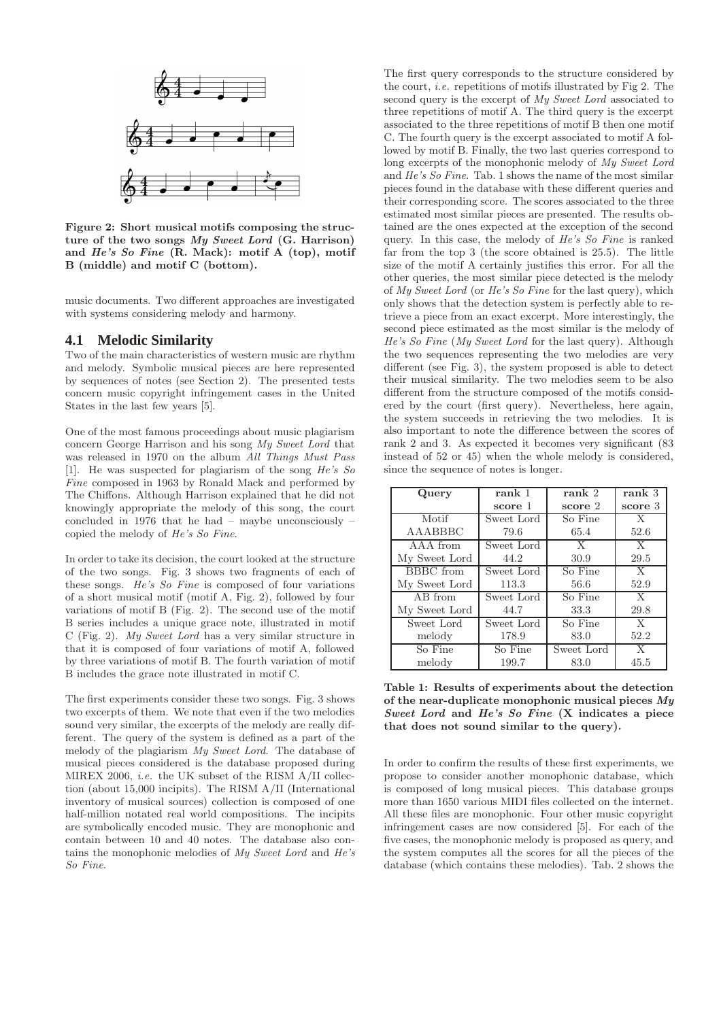

Figure 2: Short musical motifs composing the structure of the two songs My Sweet Lord (G. Harrison) and He's So Fine (R. Mack): motif A (top), motif B (middle) and motif C (bottom).

music documents. Two different approaches are investigated with systems considering melody and harmony.

#### **4.1 Melodic Similarity**

Two of the main characteristics of western music are rhythm and melody. Symbolic musical pieces are here represented by sequences of notes (see Section 2). The presented tests concern music copyright infringement cases in the United States in the last few years [5].

One of the most famous proceedings about music plagiarism concern George Harrison and his song My Sweet Lord that was released in 1970 on the album All Things Must Pass [1]. He was suspected for plagiarism of the song He's So Fine composed in 1963 by Ronald Mack and performed by The Chiffons. Although Harrison explained that he did not knowingly appropriate the melody of this song, the court concluded in 1976 that he had – maybe unconsciously – copied the melody of He's So Fine.

In order to take its decision, the court looked at the structure of the two songs. Fig. 3 shows two fragments of each of these songs. He's So Fine is composed of four variations of a short musical motif (motif A, Fig. 2), followed by four variations of motif B (Fig. 2). The second use of the motif B series includes a unique grace note, illustrated in motif C (Fig. 2). My Sweet Lord has a very similar structure in that it is composed of four variations of motif A, followed by three variations of motif B. The fourth variation of motif B includes the grace note illustrated in motif C.

The first experiments consider these two songs. Fig. 3 shows two excerpts of them. We note that even if the two melodies sound very similar, the excerpts of the melody are really different. The query of the system is defined as a part of the melody of the plagiarism My Sweet Lord. The database of musical pieces considered is the database proposed during MIREX 2006, i.e. the UK subset of the RISM A/II collection (about 15,000 incipits). The RISM A/II (International inventory of musical sources) collection is composed of one half-million notated real world compositions. The incipits are symbolically encoded music. They are monophonic and contain between 10 and 40 notes. The database also contains the monophonic melodies of My Sweet Lord and He's So Fine.

The first query corresponds to the structure considered by the court, *i.e.* repetitions of motifs illustrated by Fig 2. The second query is the excerpt of My Sweet Lord associated to three repetitions of motif A. The third query is the excerpt associated to the three repetitions of motif B then one motif C. The fourth query is the excerpt associated to motif A followed by motif B. Finally, the two last queries correspond to long excerpts of the monophonic melody of My Sweet Lord and He's So Fine. Tab. 1 shows the name of the most similar pieces found in the database with these different queries and their corresponding score. The scores associated to the three estimated most similar pieces are presented. The results obtained are the ones expected at the exception of the second query. In this case, the melody of He's So Fine is ranked far from the top 3 (the score obtained is 25.5). The little size of the motif A certainly justifies this error. For all the other queries, the most similar piece detected is the melody of My Sweet Lord (or He's So Fine for the last query), which only shows that the detection system is perfectly able to retrieve a piece from an exact excerpt. More interestingly, the second piece estimated as the most similar is the melody of He's So Fine (My Sweet Lord for the last query). Although the two sequences representing the two melodies are very different (see Fig. 3), the system proposed is able to detect their musical similarity. The two melodies seem to be also different from the structure composed of the motifs considered by the court (first query). Nevertheless, here again, the system succeeds in retrieving the two melodies. It is also important to note the difference between the scores of rank 2 and 3. As expected it becomes very significant (83 instead of 52 or 45) when the whole melody is considered, since the sequence of notes is longer.

| Query         | rank 1     | rank 2     | rank 3       |
|---------------|------------|------------|--------------|
|               | score 1    | score 2    | score 3      |
| Motif         | Sweet Lord | So Fine    | $\mathbf{X}$ |
| AAABBBC       | 79.6       | 65.4       | 52.6         |
| AAA from      | Sweet Lord | X          | $\mathbf{X}$ |
| My Sweet Lord | 44.2       | 30.9       | 29.5         |
| BBBC from     | Sweet Lord | So Fine    | $\mathbf{X}$ |
| My Sweet Lord | 113.3      | 56.6       | 52.9         |
| AB from       | Sweet Lord | So Fine    | $\mathbf{X}$ |
| My Sweet Lord | 44.7       | 33.3       | 29.8         |
| Sweet Lord    | Sweet Lord | So Fine    | $\mathbf{X}$ |
| melody        | 178.9      | 83.0       | 52.2         |
| So Fine       | So Fine    | Sweet Lord | X            |
| melody        | 199.7      | 83.0       | 45.5         |

Table 1: Results of experiments about the detection of the near-duplicate monophonic musical pieces  $M_y$ Sweet Lord and He's So Fine (X indicates a piece that does not sound similar to the query).

In order to confirm the results of these first experiments, we propose to consider another monophonic database, which is composed of long musical pieces. This database groups more than 1650 various MIDI files collected on the internet. All these files are monophonic. Four other music copyright infringement cases are now considered [5]. For each of the five cases, the monophonic melody is proposed as query, and the system computes all the scores for all the pieces of the database (which contains these melodies). Tab. 2 shows the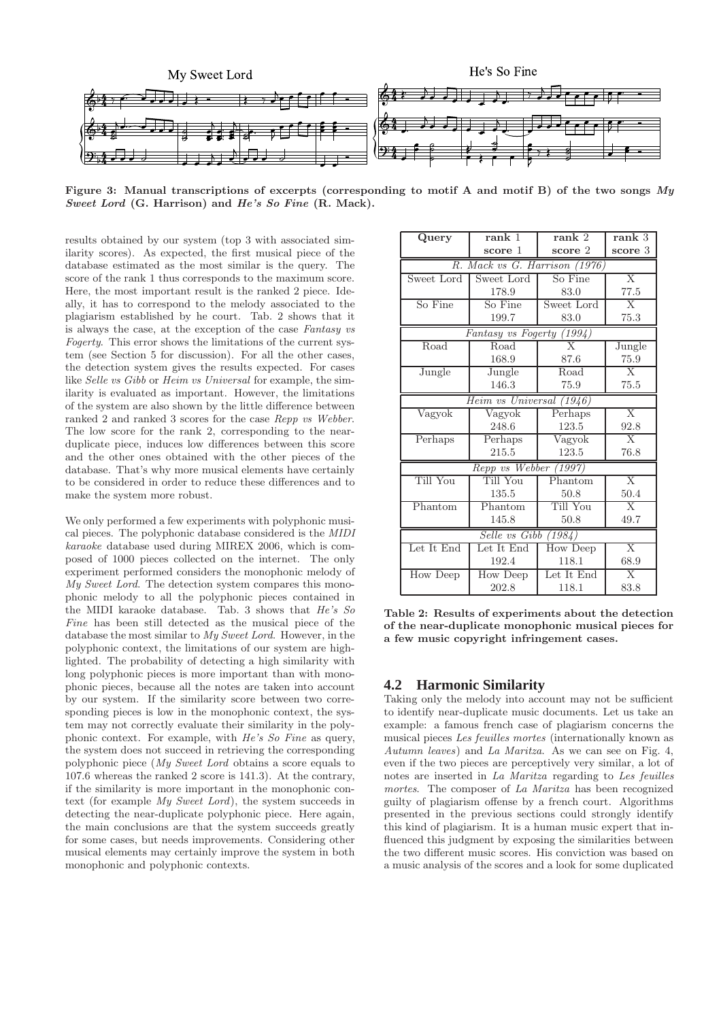

Figure 3: Manual transcriptions of excerpts (corresponding to motif A and motif B) of the two songs My Sweet Lord (G. Harrison) and He's So Fine (R. Mack).

results obtained by our system (top 3 with associated similarity scores). As expected, the first musical piece of the database estimated as the most similar is the query. The score of the rank 1 thus corresponds to the maximum score. Here, the most important result is the ranked 2 piece. Ideally, it has to correspond to the melody associated to the plagiarism established by he court. Tab. 2 shows that it is always the case, at the exception of the case Fantasy vs Fogerty. This error shows the limitations of the current system (see Section 5 for discussion). For all the other cases, the detection system gives the results expected. For cases like Selle vs Gibb or Heim vs Universal for example, the similarity is evaluated as important. However, the limitations of the system are also shown by the little difference between ranked 2 and ranked 3 scores for the case Repp vs Webber. The low score for the rank 2, corresponding to the nearduplicate piece, induces low differences between this score and the other ones obtained with the other pieces of the database. That's why more musical elements have certainly to be considered in order to reduce these differences and to make the system more robust.

We only performed a few experiments with polyphonic musical pieces. The polyphonic database considered is the MIDI karaoke database used during MIREX 2006, which is composed of 1000 pieces collected on the internet. The only experiment performed considers the monophonic melody of My Sweet Lord. The detection system compares this monophonic melody to all the polyphonic pieces contained in the MIDI karaoke database. Tab. 3 shows that He's So Fine has been still detected as the musical piece of the database the most similar to My Sweet Lord. However, in the polyphonic context, the limitations of our system are highlighted. The probability of detecting a high similarity with long polyphonic pieces is more important than with monophonic pieces, because all the notes are taken into account by our system. If the similarity score between two corresponding pieces is low in the monophonic context, the system may not correctly evaluate their similarity in the polyphonic context. For example, with He's So Fine as query, the system does not succeed in retrieving the corresponding polyphonic piece (My Sweet Lord obtains a score equals to 107.6 whereas the ranked 2 score is 141.3). At the contrary, if the similarity is more important in the monophonic context (for example My Sweet Lord), the system succeeds in detecting the near-duplicate polyphonic piece. Here again, the main conclusions are that the system succeeds greatly for some cases, but needs improvements. Considering other musical elements may certainly improve the system in both monophonic and polyphonic contexts.

| Query                                | rank 1     | rank 2                  | rank <sub>3</sub> |  |  |
|--------------------------------------|------------|-------------------------|-------------------|--|--|
|                                      | score 1    | score 2                 | score 3           |  |  |
| R. Mack vs G. Harrison (1976)        |            |                         |                   |  |  |
| Sweet Lord                           | Sweet Lord | So Fine                 | $\overline{X}$    |  |  |
|                                      | 178.9      | 83.0                    | 77.5              |  |  |
| So Fine                              | So Fine    | Sweet Lord              | $\overline{X}$    |  |  |
|                                      | 199.7      | 83.0                    | 75.3              |  |  |
| Fantasy vs Fogerty (1994)            |            |                         |                   |  |  |
| Road                                 | Road       | $\overline{\mathrm{X}}$ | Jungle            |  |  |
|                                      | 168.9      | 87.6                    | 75.9              |  |  |
| Jungle                               | Jungle     | Road                    | $\mathbf{X}$      |  |  |
|                                      | 146.3      | 75.9                    | 75.5              |  |  |
| $Heim$ vs Universal $(1946)$         |            |                         |                   |  |  |
| Vagyok                               | Vagyok     | Perhaps                 | $\overline{X}$    |  |  |
|                                      | 248.6      | 123.5                   | 92.8              |  |  |
| Perhaps                              | Perhaps    | Vagyok                  | $\overline{X}$    |  |  |
|                                      | 215.5      | 123.5                   | 76.8              |  |  |
| Repp vs Webber (1997)                |            |                         |                   |  |  |
| Till You                             | Till You   | Phantom                 | $\overline{X}$    |  |  |
|                                      | 135.5      | 50.8                    | 50.4              |  |  |
| Phantom                              | Phantom    | Till You                | $\overline{X}$    |  |  |
|                                      | 145.8      | 50.8                    | 49.7              |  |  |
| Selle vs $\overline{G}$ ibb $(1984)$ |            |                         |                   |  |  |
| Let It End                           | Let It End | How Deep                | $\overline{X}$    |  |  |
|                                      | 192.4      | 118.1                   | 68.9              |  |  |
| <b>How Deep</b>                      | How Deep   | Let It End              | $\overline{X}$    |  |  |
|                                      | 202.8      | 118.1                   | 83.8              |  |  |

Table 2: Results of experiments about the detection of the near-duplicate monophonic musical pieces for a few music copyright infringement cases.

#### **4.2 Harmonic Similarity**

Taking only the melody into account may not be sufficient to identify near-duplicate music documents. Let us take an example: a famous french case of plagiarism concerns the musical pieces Les feuilles mortes (internationally known as Autumn leaves) and La Maritza. As we can see on Fig. 4, even if the two pieces are perceptively very similar, a lot of notes are inserted in La Maritza regarding to Les feuilles mortes. The composer of La Maritza has been recognized guilty of plagiarism offense by a french court. Algorithms presented in the previous sections could strongly identify this kind of plagiarism. It is a human music expert that influenced this judgment by exposing the similarities between the two different music scores. His conviction was based on a music analysis of the scores and a look for some duplicated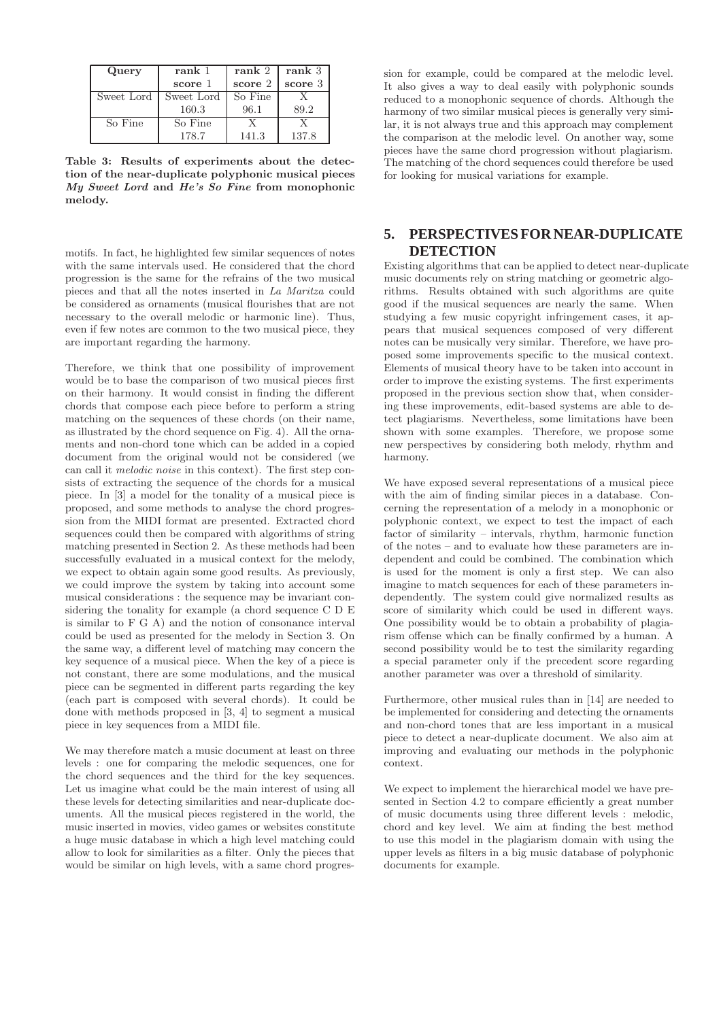| Query      | rank 1     | rank 2  | rank <sub>3</sub> |
|------------|------------|---------|-------------------|
|            | score 1    | score 2 | score 3           |
| Sweet Lord | Sweet Lord | So Fine |                   |
|            | 160.3      | 96.1    | 89.2              |
| So Fine    | So Fine    |         |                   |
|            | 178.7      | 141.3   | 137.8             |

Table 3: Results of experiments about the detection of the near-duplicate polyphonic musical pieces My Sweet Lord and He's So Fine from monophonic melody.

motifs. In fact, he highlighted few similar sequences of notes with the same intervals used. He considered that the chord progression is the same for the refrains of the two musical pieces and that all the notes inserted in La Maritza could be considered as ornaments (musical flourishes that are not necessary to the overall melodic or harmonic line). Thus, even if few notes are common to the two musical piece, they are important regarding the harmony.

Therefore, we think that one possibility of improvement would be to base the comparison of two musical pieces first on their harmony. It would consist in finding the different chords that compose each piece before to perform a string matching on the sequences of these chords (on their name, as illustrated by the chord sequence on Fig. 4). All the ornaments and non-chord tone which can be added in a copied document from the original would not be considered (we can call it melodic noise in this context). The first step consists of extracting the sequence of the chords for a musical piece. In [3] a model for the tonality of a musical piece is proposed, and some methods to analyse the chord progression from the MIDI format are presented. Extracted chord sequences could then be compared with algorithms of string matching presented in Section 2. As these methods had been successfully evaluated in a musical context for the melody, we expect to obtain again some good results. As previously, we could improve the system by taking into account some musical considerations : the sequence may be invariant considering the tonality for example (a chord sequence C D E is similar to F G A) and the notion of consonance interval could be used as presented for the melody in Section 3. On the same way, a different level of matching may concern the key sequence of a musical piece. When the key of a piece is not constant, there are some modulations, and the musical piece can be segmented in different parts regarding the key (each part is composed with several chords). It could be done with methods proposed in [3, 4] to segment a musical piece in key sequences from a MIDI file.

We may therefore match a music document at least on three levels : one for comparing the melodic sequences, one for the chord sequences and the third for the key sequences. Let us imagine what could be the main interest of using all these levels for detecting similarities and near-duplicate documents. All the musical pieces registered in the world, the music inserted in movies, video games or websites constitute a huge music database in which a high level matching could allow to look for similarities as a filter. Only the pieces that would be similar on high levels, with a same chord progres-

sion for example, could be compared at the melodic level. It also gives a way to deal easily with polyphonic sounds reduced to a monophonic sequence of chords. Although the harmony of two similar musical pieces is generally very similar, it is not always true and this approach may complement the comparison at the melodic level. On another way, some pieces have the same chord progression without plagiarism. The matching of the chord sequences could therefore be used for looking for musical variations for example.

### **5. PERSPECTIVES FOR NEAR-DUPLICATE DETECTION**

Existing algorithms that can be applied to detect near-duplicate music documents rely on string matching or geometric algorithms. Results obtained with such algorithms are quite good if the musical sequences are nearly the same. When studying a few music copyright infringement cases, it appears that musical sequences composed of very different notes can be musically very similar. Therefore, we have proposed some improvements specific to the musical context. Elements of musical theory have to be taken into account in order to improve the existing systems. The first experiments proposed in the previous section show that, when considering these improvements, edit-based systems are able to detect plagiarisms. Nevertheless, some limitations have been shown with some examples. Therefore, we propose some new perspectives by considering both melody, rhythm and harmony.

We have exposed several representations of a musical piece with the aim of finding similar pieces in a database. Concerning the representation of a melody in a monophonic or polyphonic context, we expect to test the impact of each factor of similarity – intervals, rhythm, harmonic function of the notes – and to evaluate how these parameters are independent and could be combined. The combination which is used for the moment is only a first step. We can also imagine to match sequences for each of these parameters independently. The system could give normalized results as score of similarity which could be used in different ways. One possibility would be to obtain a probability of plagiarism offense which can be finally confirmed by a human. A second possibility would be to test the similarity regarding a special parameter only if the precedent score regarding another parameter was over a threshold of similarity.

Furthermore, other musical rules than in [14] are needed to be implemented for considering and detecting the ornaments and non-chord tones that are less important in a musical piece to detect a near-duplicate document. We also aim at improving and evaluating our methods in the polyphonic context.

We expect to implement the hierarchical model we have presented in Section 4.2 to compare efficiently a great number of music documents using three different levels : melodic, chord and key level. We aim at finding the best method to use this model in the plagiarism domain with using the upper levels as filters in a big music database of polyphonic documents for example.